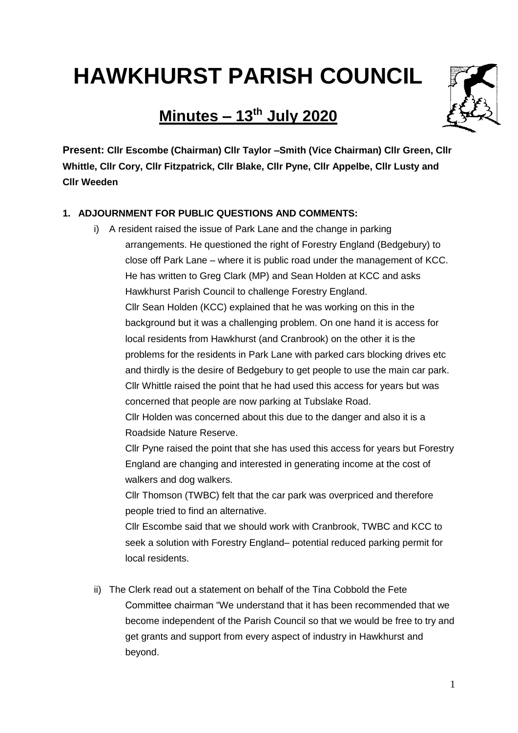# **HAWKHURST PARISH COUNCIL**

# **Minutes – 13th July 2020**



**Present: Cllr Escombe (Chairman) Cllr Taylor –Smith (Vice Chairman) Cllr Green, Cllr Whittle, Cllr Cory, Cllr Fitzpatrick, Cllr Blake, Cllr Pyne, Cllr Appelbe, Cllr Lusty and Cllr Weeden**

# **1. ADJOURNMENT FOR PUBLIC QUESTIONS AND COMMENTS:**

i) A resident raised the issue of Park Lane and the change in parking arrangements. He questioned the right of Forestry England (Bedgebury) to close off Park Lane – where it is public road under the management of KCC. He has written to Greg Clark (MP) and Sean Holden at KCC and asks Hawkhurst Parish Council to challenge Forestry England. Cllr Sean Holden (KCC) explained that he was working on this in the background but it was a challenging problem. On one hand it is access for local residents from Hawkhurst (and Cranbrook) on the other it is the problems for the residents in Park Lane with parked cars blocking drives etc and thirdly is the desire of Bedgebury to get people to use the main car park. Cllr Whittle raised the point that he had used this access for years but was concerned that people are now parking at Tubslake Road.

Cllr Holden was concerned about this due to the danger and also it is a Roadside Nature Reserve.

Cllr Pyne raised the point that she has used this access for years but Forestry England are changing and interested in generating income at the cost of walkers and dog walkers.

Cllr Thomson (TWBC) felt that the car park was overpriced and therefore people tried to find an alternative.

Cllr Escombe said that we should work with Cranbrook, TWBC and KCC to seek a solution with Forestry England– potential reduced parking permit for local residents.

ii) The Clerk read out a statement on behalf of the Tina Cobbold the Fete Committee chairman "We understand that it has been recommended that we become independent of the Parish Council so that we would be free to try and get grants and support from every aspect of industry in Hawkhurst and beyond.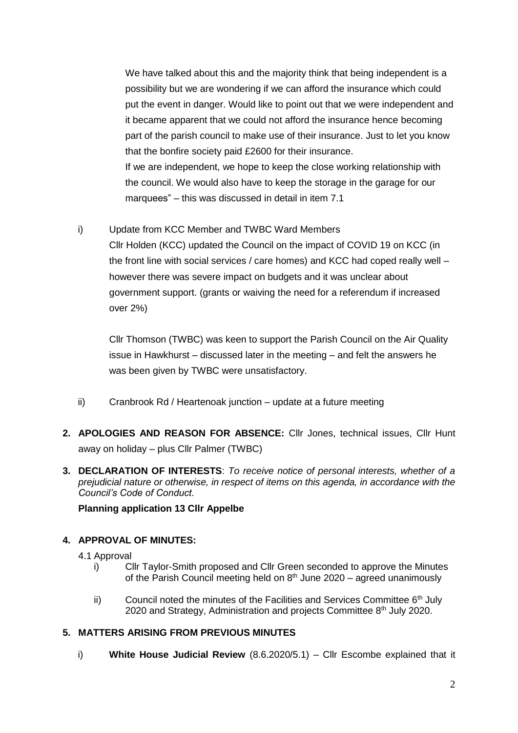We have talked about this and the majority think that being independent is a possibility but we are wondering if we can afford the insurance which could put the event in danger. Would like to point out that we were independent and it became apparent that we could not afford the insurance hence becoming part of the parish council to make use of their insurance. Just to let you know that the bonfire society paid £2600 for their insurance. If we are independent, we hope to keep the close working relationship with the council. We would also have to keep the storage in the garage for our marquees" – this was discussed in detail in item 7.1

i) Update from KCC Member and TWBC Ward Members

Cllr Holden (KCC) updated the Council on the impact of COVID 19 on KCC (in the front line with social services / care homes) and KCC had coped really well – however there was severe impact on budgets and it was unclear about government support. (grants or waiving the need for a referendum if increased over 2%)

Cllr Thomson (TWBC) was keen to support the Parish Council on the Air Quality issue in Hawkhurst – discussed later in the meeting – and felt the answers he was been given by TWBC were unsatisfactory.

- ii) Cranbrook Rd / Heartenoak junction update at a future meeting
- **2. APOLOGIES AND REASON FOR ABSENCE:** Cllr Jones, technical issues, Cllr Hunt away on holiday – plus Cllr Palmer (TWBC)
- **3. DECLARATION OF INTERESTS**: *To receive notice of personal interests, whether of a prejudicial nature or otherwise, in respect of items on this agenda, in accordance with the Council's Code of Conduct.*

# **Planning application 13 Cllr Appelbe**

# **4. APPROVAL OF MINUTES:**

- 4.1 Approval
	- i) Cllr Taylor-Smith proposed and Cllr Green seconded to approve the Minutes of the Parish Council meeting held on  $8<sup>th</sup>$  June 2020 – agreed unanimously
	- ii) Council noted the minutes of the Facilities and Services Committee  $6<sup>th</sup>$  July 2020 and Strategy, Administration and projects Committee 8<sup>th</sup> July 2020.

# **5. MATTERS ARISING FROM PREVIOUS MINUTES**

i) **White House Judicial Review** (8.6.2020/5.1) – Cllr Escombe explained that it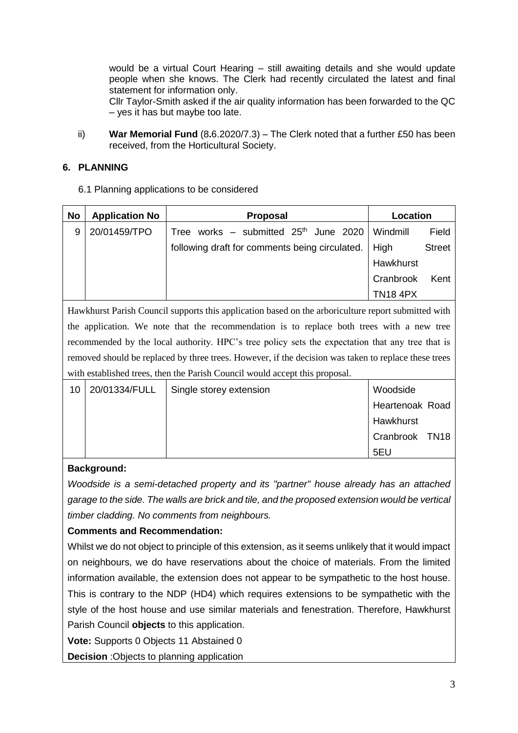would be a virtual Court Hearing – still awaiting details and she would update people when she knows. The Clerk had recently circulated the latest and final statement for information only.

Cllr Taylor-Smith asked if the air quality information has been forwarded to the QC – yes it has but maybe too late.

ii) **War Memorial Fund** (8**.**6.2020/7.3) – The Clerk noted that a further £50 has been received, from the Horticultural Society.

#### **6. PLANNING**

6.1 Planning applications to be considered

| No | <b>Application No</b> | <b>Proposal</b>                                | Location        |               |
|----|-----------------------|------------------------------------------------|-----------------|---------------|
| 9  | 20/01459/TPO          | Tree works - submitted $25th$ June 2020        | Windmill        | Field         |
|    |                       | following draft for comments being circulated. | <b>High</b>     | <b>Street</b> |
|    |                       |                                                | Hawkhurst       |               |
|    |                       |                                                | Cranbrook       | Kent          |
|    |                       |                                                | <b>TN18 4PX</b> |               |

Hawkhurst Parish Council supports this application based on the arboriculture report submitted with the application. We note that the recommendation is to replace both trees with a new tree recommended by the local authority. HPC's tree policy sets the expectation that any tree that is removed should be replaced by three trees. However, if the decision was taken to replace these trees with established trees, then the Parish Council would accept this proposal.

| 10 | 20/01334/FULL | Single storey extension | Woodside        |  |
|----|---------------|-------------------------|-----------------|--|
|    |               |                         | Heartenoak Road |  |
|    |               |                         | Hawkhurst       |  |
|    |               |                         | Cranbrook TN18  |  |
|    |               |                         | 5EU             |  |

#### **Background:**

*Woodside is a semi-detached property and its "partner" house already has an attached garage to the side. The walls are brick and tile, and the proposed extension would be vertical timber cladding. No comments from neighbours.*

#### **Comments and Recommendation:**

Whilst we do not object to principle of this extension, as it seems unlikely that it would impact on neighbours, we do have reservations about the choice of materials. From the limited information available, the extension does not appear to be sympathetic to the host house. This is contrary to the NDP (HD4) which requires extensions to be sympathetic with the style of the host house and use similar materials and fenestration. Therefore, Hawkhurst Parish Council **objects** to this application.

**Vote:** Supports 0 Objects 11 Abstained 0

**Decision** :Objects to planning application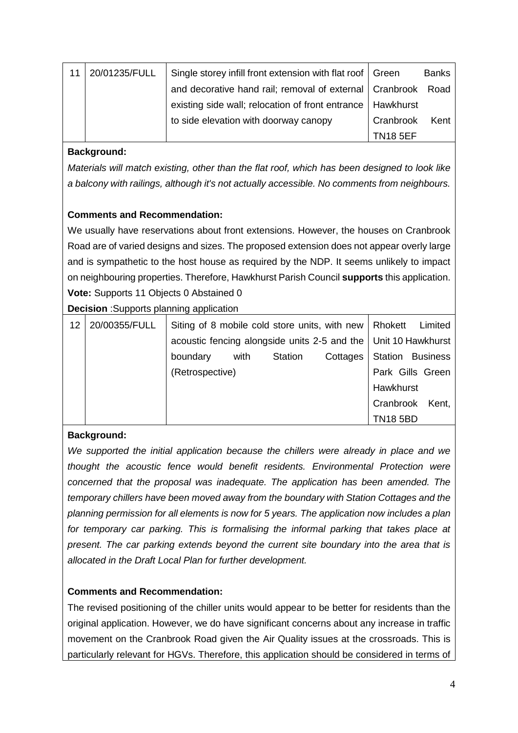| 11 | 20/01235/FULL | Single storey infill front extension with flat roof   Green  |                 | <b>Banks</b> |
|----|---------------|--------------------------------------------------------------|-----------------|--------------|
|    |               | and decorative hand rail; removal of external   Cranbrook    |                 | Road         |
|    |               | existing side wall; relocation of front entrance   Hawkhurst |                 |              |
|    |               | to side elevation with doorway canopy                        | Cranbrook       | Kent         |
|    |               |                                                              | <b>TN18 5EF</b> |              |

# **Background:**

*Materials will match existing, other than the flat roof, which has been designed to look like a balcony with railings, although it's not actually accessible. No comments from neighbours.*

# **Comments and Recommendation:**

We usually have reservations about front extensions. However, the houses on Cranbrook Road are of varied designs and sizes. The proposed extension does not appear overly large and is sympathetic to the host house as required by the NDP. It seems unlikely to impact on neighbouring properties. Therefore, Hawkhurst Parish Council **supports** this application. **Vote:** Supports 11 Objects 0 Abstained 0

**Decision** :Supports planning application

| 12 | 20/00355/FULL |                                                                  | Siting of 8 mobile cold store units, with new   Rhokett Limited |                |          |                         |  |
|----|---------------|------------------------------------------------------------------|-----------------------------------------------------------------|----------------|----------|-------------------------|--|
|    |               | acoustic fencing alongside units 2-5 and the   Unit 10 Hawkhurst |                                                                 |                |          |                         |  |
|    |               | boundary                                                         | with                                                            | <b>Station</b> | Cottages | <b>Station Business</b> |  |
|    |               | (Retrospective)                                                  |                                                                 |                |          | Park Gills Green        |  |
|    |               |                                                                  |                                                                 |                |          | Hawkhurst               |  |
|    |               |                                                                  |                                                                 |                |          | Cranbrook Kent,         |  |
|    |               |                                                                  |                                                                 |                |          | <b>TN18 5BD</b>         |  |

# **Background:**

*We supported the initial application because the chillers were already in place and we thought the acoustic fence would benefit residents. Environmental Protection were concerned that the proposal was inadequate. The application has been amended. The temporary chillers have been moved away from the boundary with Station Cottages and the planning permission for all elements is now for 5 years. The application now includes a plan for temporary car parking. This is formalising the informal parking that takes place at present. The car parking extends beyond the current site boundary into the area that is allocated in the Draft Local Plan for further development.*

# **Comments and Recommendation:**

The revised positioning of the chiller units would appear to be better for residents than the original application. However, we do have significant concerns about any increase in traffic movement on the Cranbrook Road given the Air Quality issues at the crossroads. This is particularly relevant for HGVs. Therefore, this application should be considered in terms of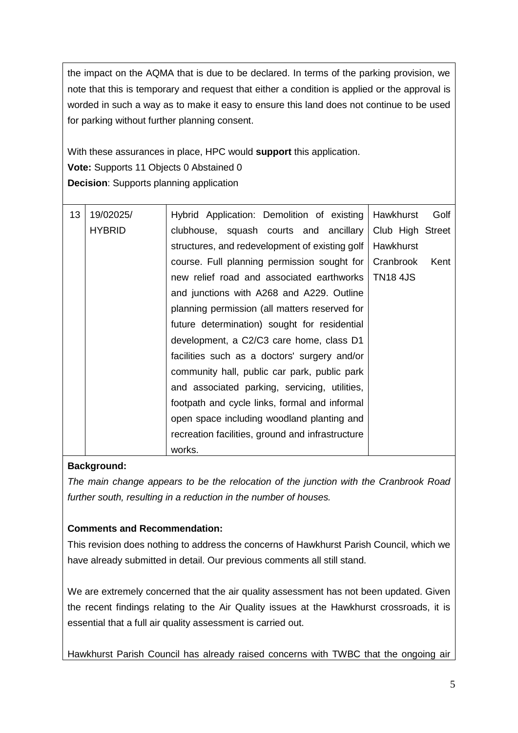the impact on the AQMA that is due to be declared. In terms of the parking provision, we note that this is temporary and request that either a condition is applied or the approval is worded in such a way as to make it easy to ensure this land does not continue to be used for parking without further planning consent.

With these assurances in place, HPC would **support** this application. **Vote:** Supports 11 Objects 0 Abstained 0 **Decision**: Supports planning application

| 13 | 19/02025/     | Hybrid Application: Demolition of existing       | Hawkhurst        | Golf |
|----|---------------|--------------------------------------------------|------------------|------|
|    | <b>HYBRID</b> | clubhouse, squash courts and ancillary           | Club High Street |      |
|    |               | structures, and redevelopment of existing golf   | Hawkhurst        |      |
|    |               | course. Full planning permission sought for      | Cranbrook        | Kent |
|    |               | new relief road and associated earthworks        | <b>TN18 4JS</b>  |      |
|    |               | and junctions with A268 and A229. Outline        |                  |      |
|    |               | planning permission (all matters reserved for    |                  |      |
|    |               | future determination) sought for residential     |                  |      |
|    |               | development, a C2/C3 care home, class D1         |                  |      |
|    |               | facilities such as a doctors' surgery and/or     |                  |      |
|    |               | community hall, public car park, public park     |                  |      |
|    |               | and associated parking, servicing, utilities,    |                  |      |
|    |               | footpath and cycle links, formal and informal    |                  |      |
|    |               | open space including woodland planting and       |                  |      |
|    |               | recreation facilities, ground and infrastructure |                  |      |
|    |               | works.                                           |                  |      |

# **Background:**

*The main change appears to be the relocation of the junction with the Cranbrook Road further south, resulting in a reduction in the number of houses.*

# **Comments and Recommendation:**

This revision does nothing to address the concerns of Hawkhurst Parish Council, which we have already submitted in detail. Our previous comments all still stand.

We are extremely concerned that the air quality assessment has not been updated. Given the recent findings relating to the Air Quality issues at the Hawkhurst crossroads, it is essential that a full air quality assessment is carried out.

Hawkhurst Parish Council has already raised concerns with TWBC that the ongoing air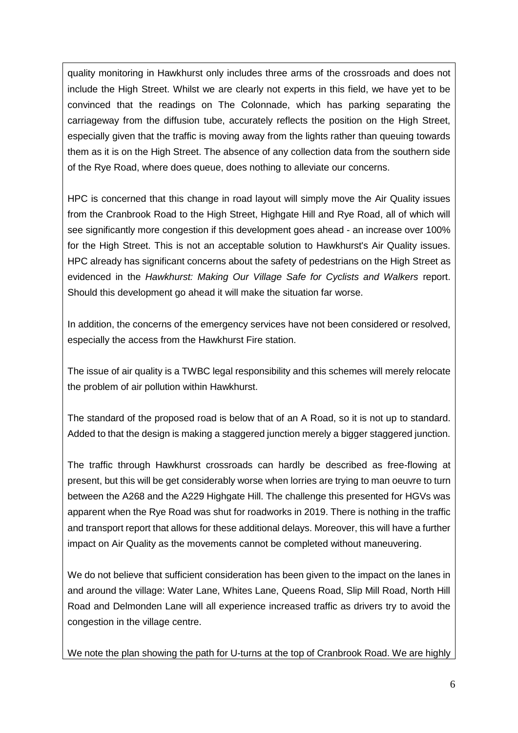quality monitoring in Hawkhurst only includes three arms of the crossroads and does not include the High Street. Whilst we are clearly not experts in this field, we have yet to be convinced that the readings on The Colonnade, which has parking separating the carriageway from the diffusion tube, accurately reflects the position on the High Street, especially given that the traffic is moving away from the lights rather than queuing towards them as it is on the High Street. The absence of any collection data from the southern side of the Rye Road, where does queue, does nothing to alleviate our concerns.

HPC is concerned that this change in road layout will simply move the Air Quality issues from the Cranbrook Road to the High Street, Highgate Hill and Rye Road, all of which will see significantly more congestion if this development goes ahead - an increase over 100% for the High Street. This is not an acceptable solution to Hawkhurst's Air Quality issues. HPC already has significant concerns about the safety of pedestrians on the High Street as evidenced in the *Hawkhurst: Making Our Village Safe for Cyclists and Walkers* report. Should this development go ahead it will make the situation far worse.

In addition, the concerns of the emergency services have not been considered or resolved, especially the access from the Hawkhurst Fire station.

The issue of air quality is a TWBC legal responsibility and this schemes will merely relocate the problem of air pollution within Hawkhurst.

The standard of the proposed road is below that of an A Road, so it is not up to standard. Added to that the design is making a staggered junction merely a bigger staggered junction.

The traffic through Hawkhurst crossroads can hardly be described as free-flowing at present, but this will be get considerably worse when lorries are trying to man oeuvre to turn between the A268 and the A229 Highgate Hill. The challenge this presented for HGVs was apparent when the Rye Road was shut for roadworks in 2019. There is nothing in the traffic and transport report that allows for these additional delays. Moreover, this will have a further impact on Air Quality as the movements cannot be completed without maneuvering.

We do not believe that sufficient consideration has been given to the impact on the lanes in and around the village: Water Lane, Whites Lane, Queens Road, Slip Mill Road, North Hill Road and Delmonden Lane will all experience increased traffic as drivers try to avoid the congestion in the village centre.

We note the plan showing the path for U-turns at the top of Cranbrook Road. We are highly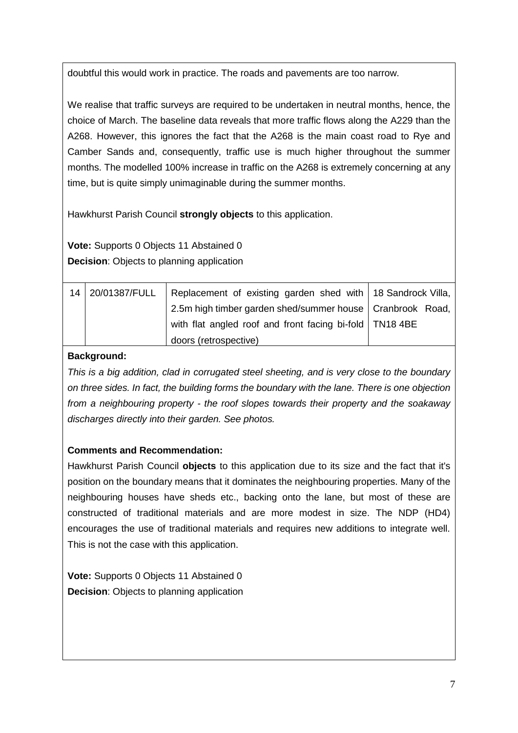doubtful this would work in practice. The roads and pavements are too narrow.

We realise that traffic surveys are required to be undertaken in neutral months, hence, the choice of March. The baseline data reveals that more traffic flows along the A229 than the A268. However, this ignores the fact that the A268 is the main coast road to Rye and Camber Sands and, consequently, traffic use is much higher throughout the summer months. The modelled 100% increase in traffic on the A268 is extremely concerning at any time, but is quite simply unimaginable during the summer months.

Hawkhurst Parish Council **strongly objects** to this application.

**Vote:** Supports 0 Objects 11 Abstained 0 **Decision**: Objects to planning application

| 14 | 20/01387/FULL | Replacement of existing garden shed with   18 Sandrock Villa, |  |
|----|---------------|---------------------------------------------------------------|--|
|    |               | 2.5m high timber garden shed/summer house   Cranbrook Road,   |  |
|    |               | with flat angled roof and front facing bi-fold   TN18 4BE     |  |
|    |               | doors (retrospective)                                         |  |

## **Background:**

*This is a big addition, clad in corrugated steel sheeting, and is very close to the boundary on three sides. In fact, the building forms the boundary with the lane. There is one objection from a neighbouring property - the roof slopes towards their property and the soakaway discharges directly into their garden. See photos.*

# **Comments and Recommendation:**

Hawkhurst Parish Council **objects** to this application due to its size and the fact that it's position on the boundary means that it dominates the neighbouring properties. Many of the neighbouring houses have sheds etc., backing onto the lane, but most of these are constructed of traditional materials and are more modest in size. The NDP (HD4) encourages the use of traditional materials and requires new additions to integrate well. This is not the case with this application.

**Vote:** Supports 0 Objects 11 Abstained 0 **Decision**: Objects to planning application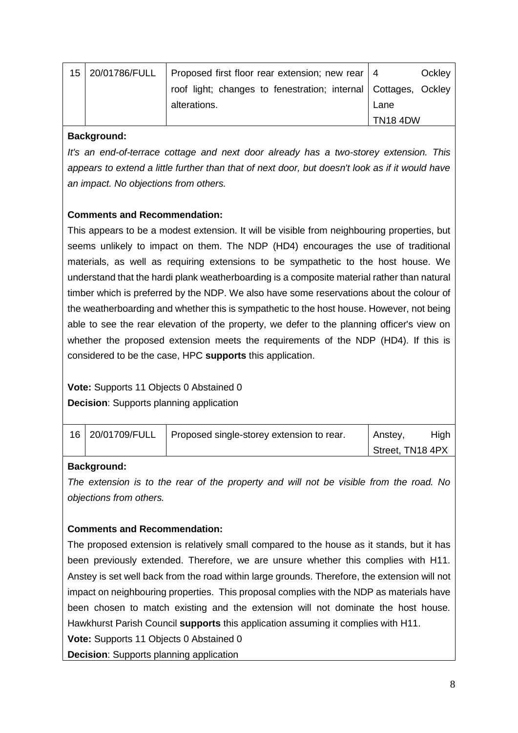| 15 | 20/01786/FULL | Proposed first floor rear extension; new rear   4                |                 | Ockley |
|----|---------------|------------------------------------------------------------------|-----------------|--------|
|    |               | roof light; changes to fenestration; internal   Cottages, Ockley |                 |        |
|    |               | alterations.                                                     | Lane            |        |
|    |               |                                                                  | <b>TN18 4DW</b> |        |

#### **Background:**

*It's an end-of-terrace cottage and next door already has a two-storey extension. This appears to extend a little further than that of next door, but doesn't look as if it would have an impact. No objections from others.* 

# **Comments and Recommendation:**

This appears to be a modest extension. It will be visible from neighbouring properties, but seems unlikely to impact on them. The NDP (HD4) encourages the use of traditional materials, as well as requiring extensions to be sympathetic to the host house. We understand that the hardi plank weatherboarding is a composite material rather than natural timber which is preferred by the NDP. We also have some reservations about the colour of the weatherboarding and whether this is sympathetic to the host house. However, not being able to see the rear elevation of the property, we defer to the planning officer's view on whether the proposed extension meets the requirements of the NDP (HD4). If this is considered to be the case, HPC **supports** this application.

# **Vote:** Supports 11 Objects 0 Abstained 0

**Decision**: Supports planning application

|  | 16 20/01709/FULL   Proposed single-storey extension to rear. | Anstey,          | High |
|--|--------------------------------------------------------------|------------------|------|
|  |                                                              | Street, TN18 4PX |      |

# **Background:**

*The extension is to the rear of the property and will not be visible from the road. No objections from others.* 

# **Comments and Recommendation:**

The proposed extension is relatively small compared to the house as it stands, but it has been previously extended. Therefore, we are unsure whether this complies with H11. Anstey is set well back from the road within large grounds. Therefore, the extension will not impact on neighbouring properties. This proposal complies with the NDP as materials have been chosen to match existing and the extension will not dominate the host house. Hawkhurst Parish Council **supports** this application assuming it complies with H11.

**Vote:** Supports 11 Objects 0 Abstained 0

**Decision**: Supports planning application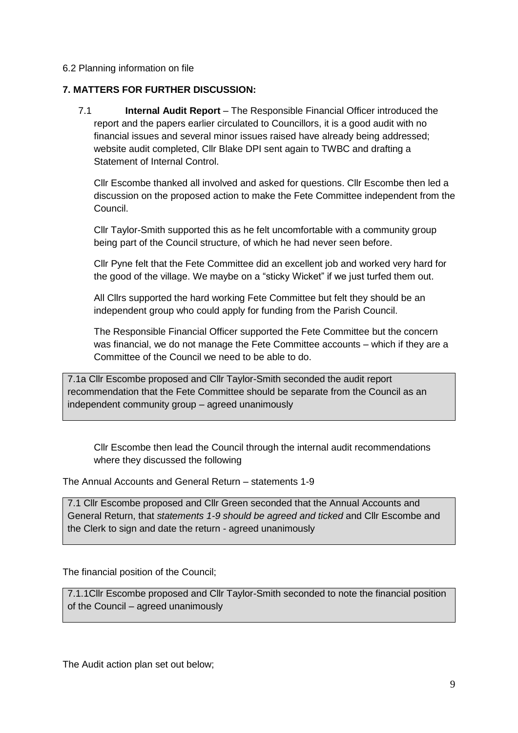#### 6.2 Planning information on file

#### **7. MATTERS FOR FURTHER DISCUSSION:**

7.1 **Internal Audit Report** – The Responsible Financial Officer introduced the report and the papers earlier circulated to Councillors, it is a good audit with no financial issues and several minor issues raised have already being addressed; website audit completed, Cllr Blake DPI sent again to TWBC and drafting a Statement of Internal Control.

Cllr Escombe thanked all involved and asked for questions. Cllr Escombe then led a discussion on the proposed action to make the Fete Committee independent from the Council.

Cllr Taylor-Smith supported this as he felt uncomfortable with a community group being part of the Council structure, of which he had never seen before.

Cllr Pyne felt that the Fete Committee did an excellent job and worked very hard for the good of the village. We maybe on a "sticky Wicket" if we just turfed them out.

All Cllrs supported the hard working Fete Committee but felt they should be an independent group who could apply for funding from the Parish Council.

The Responsible Financial Officer supported the Fete Committee but the concern was financial, we do not manage the Fete Committee accounts – which if they are a Committee of the Council we need to be able to do.

7.1a Cllr Escombe proposed and Cllr Taylor-Smith seconded the audit report recommendation that the Fete Committee should be separate from the Council as an independent community group – agreed unanimously

Cllr Escombe then lead the Council through the internal audit recommendations where they discussed the following

The Annual Accounts and General Return – statements 1-9

7.1 Cllr Escombe proposed and Cllr Green seconded that the Annual Accounts and General Return, that *statements 1-9 should be agreed and ticked* and Cllr Escombe and the Clerk to sign and date the return - agreed unanimously

The financial position of the Council;

7.1.1Cllr Escombe proposed and Cllr Taylor-Smith seconded to note the financial position of the Council – agreed unanimously

The Audit action plan set out below;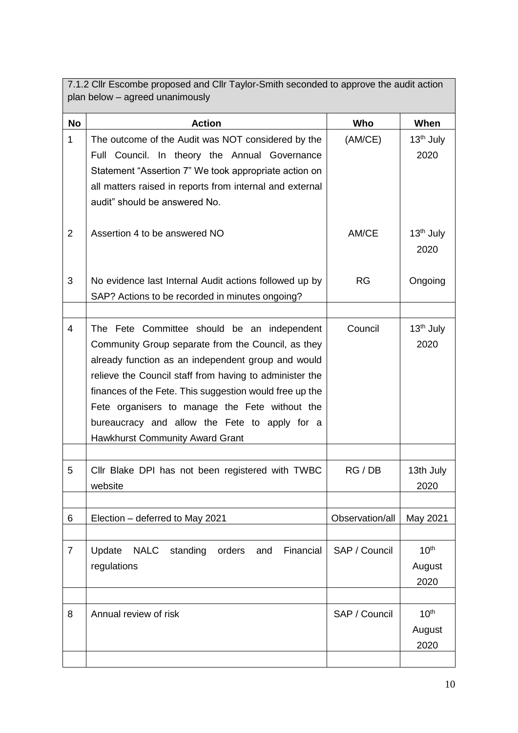7.1.2 Cllr Escombe proposed and Cllr Taylor-Smith seconded to approve the audit action plan below – agreed unanimously

| <b>No</b>      | <b>Action</b>                                                                                                                                                                                                                                                                                                                                                                                                       | Who             | When                               |
|----------------|---------------------------------------------------------------------------------------------------------------------------------------------------------------------------------------------------------------------------------------------------------------------------------------------------------------------------------------------------------------------------------------------------------------------|-----------------|------------------------------------|
| $\mathbf{1}$   | The outcome of the Audit was NOT considered by the<br>Full Council. In theory the Annual Governance<br>Statement "Assertion 7" We took appropriate action on<br>all matters raised in reports from internal and external<br>audit" should be answered No.                                                                                                                                                           | (AM/CE)         | $13th$ July<br>2020                |
| $\overline{2}$ | Assertion 4 to be answered NO                                                                                                                                                                                                                                                                                                                                                                                       | AM/CE           | 13 <sup>th</sup> July<br>2020      |
| 3              | No evidence last Internal Audit actions followed up by<br>SAP? Actions to be recorded in minutes ongoing?                                                                                                                                                                                                                                                                                                           | <b>RG</b>       | Ongoing                            |
|                |                                                                                                                                                                                                                                                                                                                                                                                                                     |                 |                                    |
| 4              | The Fete Committee should be an independent<br>Community Group separate from the Council, as they<br>already function as an independent group and would<br>relieve the Council staff from having to administer the<br>finances of the Fete. This suggestion would free up the<br>Fete organisers to manage the Fete without the<br>bureaucracy and allow the Fete to apply for a<br>Hawkhurst Community Award Grant | Council         | 13 <sup>th</sup> July<br>2020      |
|                |                                                                                                                                                                                                                                                                                                                                                                                                                     |                 |                                    |
| 5              | Cllr Blake DPI has not been registered with TWBC<br>website                                                                                                                                                                                                                                                                                                                                                         | RG/DB           | 13th July<br>2020                  |
|                |                                                                                                                                                                                                                                                                                                                                                                                                                     |                 |                                    |
| 6              | Election - deferred to May 2021                                                                                                                                                                                                                                                                                                                                                                                     | Observation/all | May 2021                           |
| $\overline{7}$ | <b>NALC</b><br>standing orders<br>Update<br>Financial<br>and<br>regulations                                                                                                                                                                                                                                                                                                                                         | SAP / Council   | 10 <sup>th</sup><br>August<br>2020 |
|                |                                                                                                                                                                                                                                                                                                                                                                                                                     |                 |                                    |
| 8              | Annual review of risk                                                                                                                                                                                                                                                                                                                                                                                               | SAP / Council   | 10 <sup>th</sup><br>August<br>2020 |
|                |                                                                                                                                                                                                                                                                                                                                                                                                                     |                 |                                    |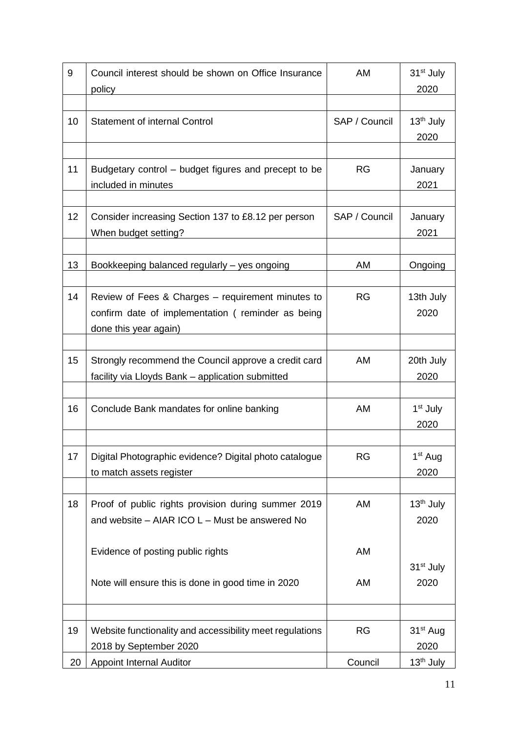| 9  | Council interest should be shown on Office Insurance<br>policy                                                                  | AM            | 31 <sup>st</sup> July<br>2020 |
|----|---------------------------------------------------------------------------------------------------------------------------------|---------------|-------------------------------|
|    |                                                                                                                                 |               |                               |
| 10 | <b>Statement of internal Control</b>                                                                                            | SAP / Council | 13 <sup>th</sup> July<br>2020 |
|    |                                                                                                                                 |               |                               |
| 11 | Budgetary control – budget figures and precept to be<br>included in minutes                                                     | <b>RG</b>     | January<br>2021               |
|    |                                                                                                                                 |               |                               |
| 12 | Consider increasing Section 137 to £8.12 per person<br>When budget setting?                                                     | SAP / Council | January<br>2021               |
|    |                                                                                                                                 |               |                               |
| 13 | Bookkeeping balanced regularly - yes ongoing                                                                                    | AM            | Ongoing                       |
| 14 | Review of Fees & Charges - requirement minutes to<br>confirm date of implementation (reminder as being<br>done this year again) | <b>RG</b>     | 13th July<br>2020             |
|    |                                                                                                                                 |               |                               |
| 15 | Strongly recommend the Council approve a credit card<br>facility via Lloyds Bank - application submitted                        | AM            | 20th July<br>2020             |
|    |                                                                                                                                 |               |                               |
| 16 | Conclude Bank mandates for online banking                                                                                       | AM            | 1 <sup>st</sup> July<br>2020  |
|    |                                                                                                                                 |               |                               |
| 17 | Digital Photographic evidence? Digital photo catalogue<br>to match assets register                                              | <b>RG</b>     | 1 <sup>st</sup> Aug<br>2020   |
|    |                                                                                                                                 |               |                               |
| 18 | Proof of public rights provision during summer 2019<br>and website - AIAR ICO L - Must be answered No                           | AM            | 13 <sup>th</sup> July<br>2020 |
|    | Evidence of posting public rights                                                                                               | AM            |                               |
|    | Note will ensure this is done in good time in 2020                                                                              | AM            | 31 <sup>st</sup> July<br>2020 |
|    |                                                                                                                                 |               |                               |
| 19 | Website functionality and accessibility meet regulations                                                                        | <b>RG</b>     | 31 <sup>st</sup> Aug          |
|    | 2018 by September 2020                                                                                                          |               | 2020                          |
| 20 | <b>Appoint Internal Auditor</b>                                                                                                 | Council       | 13 <sup>th</sup> July         |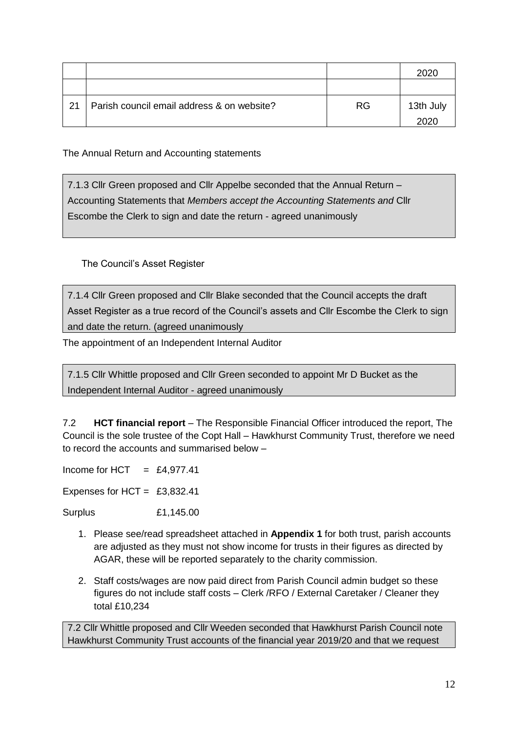|    |                                            |     | 2020      |
|----|--------------------------------------------|-----|-----------|
|    |                                            |     |           |
| 21 | Parish council email address & on website? | RG. | 13th July |
|    |                                            |     | 2020      |

The Annual Return and Accounting statements

7.1.3 Cllr Green proposed and Cllr Appelbe seconded that the Annual Return – Accounting Statements that *Members accept the Accounting Statements and* Cllr Escombe the Clerk to sign and date the return - agreed unanimously

The Council's Asset Register

7.1.4 Cllr Green proposed and Cllr Blake seconded that the Council accepts the draft Asset Register as a true record of the Council's assets and Cllr Escombe the Clerk to sign and date the return. (agreed unanimously

The appointment of an Independent Internal Auditor

7.1.5 Cllr Whittle proposed and Cllr Green seconded to appoint Mr D Bucket as the Independent Internal Auditor - agreed unanimously

7.2 **HCT financial report** – The Responsible Financial Officer introduced the report, The Council is the sole trustee of the Copt Hall – Hawkhurst Community Trust, therefore we need to record the accounts and summarised below –

Income for HCT  $=$  £4,977.41

Expenses for HCT = £3,832.41

Surplus £1,145.00

- 1. Please see/read spreadsheet attached in **Appendix 1** for both trust, parish accounts are adjusted as they must not show income for trusts in their figures as directed by AGAR, these will be reported separately to the charity commission.
- 2. Staff costs/wages are now paid direct from Parish Council admin budget so these figures do not include staff costs – Clerk /RFO / External Caretaker / Cleaner they total £10,234

7.2 Cllr Whittle proposed and Cllr Weeden seconded that Hawkhurst Parish Council note Hawkhurst Community Trust accounts of the financial year 2019/20 and that we request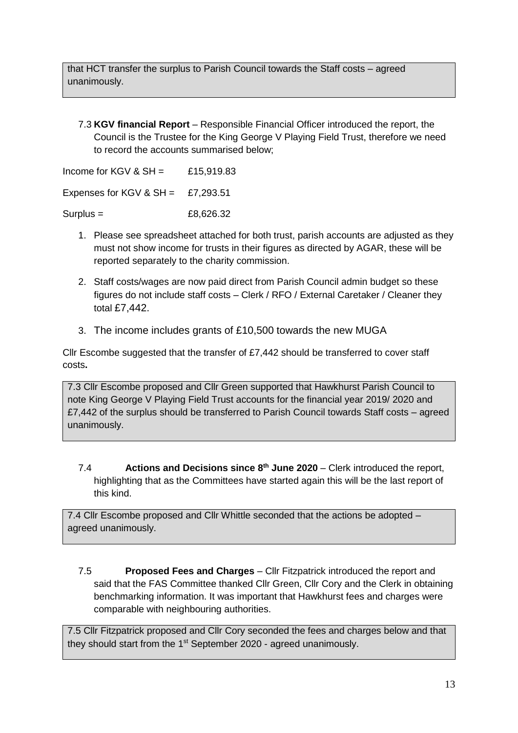that HCT transfer the surplus to Parish Council towards the Staff costs – agreed unanimously.

7.3 **KGV financial Report** – Responsible Financial Officer introduced the report, the Council is the Trustee for the King George V Playing Field Trust, therefore we need to record the accounts summarised below;

Income for KGV &  $SH =$  £15,919,83 Expenses for KGV &  $SH = E7.293.51$ 

 $Surplus =$  £8,626.32

- 1. Please see spreadsheet attached for both trust, parish accounts are adjusted as they must not show income for trusts in their figures as directed by AGAR, these will be reported separately to the charity commission.
- 2. Staff costs/wages are now paid direct from Parish Council admin budget so these figures do not include staff costs – Clerk / RFO / External Caretaker / Cleaner they total £7,442.
- 3. The income includes grants of £10,500 towards the new MUGA

Cllr Escombe suggested that the transfer of £7,442 should be transferred to cover staff costs**.**

7.3 Cllr Escombe proposed and Cllr Green supported that Hawkhurst Parish Council to note King George V Playing Field Trust accounts for the financial year 2019/ 2020 and £7,442 of the surplus should be transferred to Parish Council towards Staff costs – agreed unanimously.

7.4 **Actions and Decisions since 8 th June 2020** – Clerk introduced the report, highlighting that as the Committees have started again this will be the last report of this kind.

7.4 Cllr Escombe proposed and Cllr Whittle seconded that the actions be adopted – agreed unanimously.

7.5 **Proposed Fees and Charges** – Cllr Fitzpatrick introduced the report and said that the FAS Committee thanked Cllr Green, Cllr Cory and the Clerk in obtaining benchmarking information. It was important that Hawkhurst fees and charges were comparable with neighbouring authorities.

7.5 Cllr Fitzpatrick proposed and Cllr Cory seconded the fees and charges below and that they should start from the 1<sup>st</sup> September 2020 - agreed unanimously.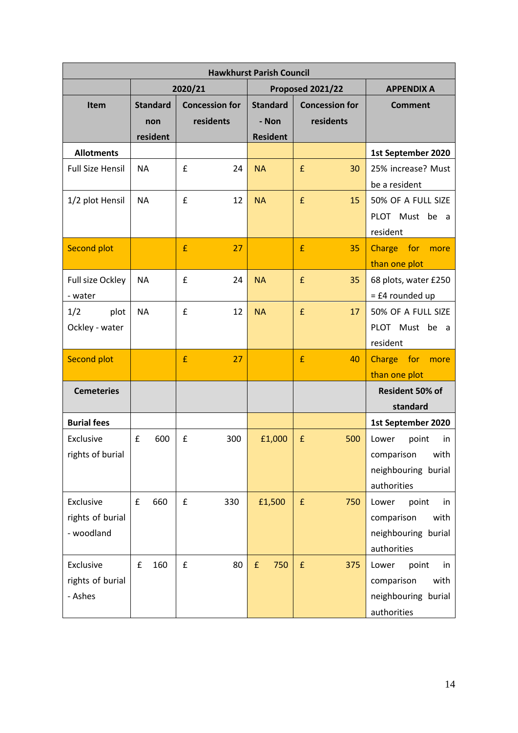| <b>Hawkhurst Parish Council</b>             |                                    |                                    |                                             |                                    |                                                                                   |
|---------------------------------------------|------------------------------------|------------------------------------|---------------------------------------------|------------------------------------|-----------------------------------------------------------------------------------|
|                                             |                                    | 2020/21                            |                                             | Proposed 2021/22                   | <b>APPENDIX A</b>                                                                 |
| Item                                        | <b>Standard</b><br>non<br>resident | <b>Concession for</b><br>residents | <b>Standard</b><br>- Non<br><b>Resident</b> | <b>Concession for</b><br>residents | <b>Comment</b>                                                                    |
| <b>Allotments</b>                           |                                    |                                    |                                             |                                    | 1st September 2020                                                                |
| <b>Full Size Hensil</b>                     | <b>NA</b>                          | £<br>24                            | <b>NA</b>                                   | £<br>30                            | 25% increase? Must<br>be a resident                                               |
| 1/2 plot Hensil                             | <b>NA</b>                          | £<br>12                            | <b>NA</b>                                   | £<br>15                            | 50% OF A FULL SIZE<br>PLOT Must be a<br>resident                                  |
| <b>Second plot</b>                          |                                    | £<br>27                            |                                             | £<br>35                            | Charge for<br>more<br>than one plot                                               |
| Full size Ockley<br>- water                 | <b>NA</b>                          | £<br>24                            | <b>NA</b>                                   | $\pmb{\mathsf{f}}$<br>35           | 68 plots, water £250<br>$=$ £4 rounded up                                         |
| 1/2<br>plot<br>Ockley - water               | <b>NA</b>                          | £<br>12                            | <b>NA</b>                                   | £<br>17                            | 50% OF A FULL SIZE<br>PLOT Must be a<br>resident                                  |
| <b>Second plot</b>                          |                                    | £<br>27                            |                                             | £<br>40                            | Charge for<br>more<br>than one plot                                               |
| <b>Cemeteries</b>                           |                                    |                                    |                                             |                                    | Resident 50% of<br>standard                                                       |
| <b>Burial fees</b>                          |                                    |                                    |                                             |                                    | 1st September 2020                                                                |
| Exclusive<br>rights of burial               | £<br>600                           | £<br>300                           | £1,000                                      | £<br>500                           | Lower<br>point<br>in.<br>comparison<br>with<br>neighbouring burial<br>authorities |
| Exclusive<br>rights of burial<br>- woodland | 660<br>$\pmb{\mathsf{f}}$          | £<br>330                           | £1,500                                      | $\pmb{\mathsf{f}}$<br>750          | Lower<br>point<br>in<br>with<br>comparison<br>neighbouring burial<br>authorities  |
| Exclusive<br>rights of burial<br>- Ashes    | 160<br>£                           | 80<br>£                            | 750<br>f                                    | $\pmb{\mathsf{f}}$<br>375          | Lower<br>point<br>in<br>comparison<br>with<br>neighbouring burial<br>authorities  |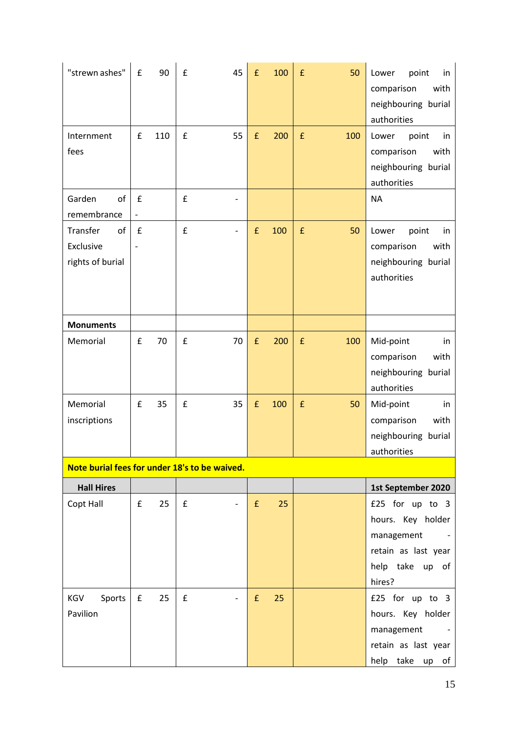| "strewn ashes"                                  | £ | 90  | £ | 45                       | £                  | 100 | $\pmb{\mathsf{f}}$ | 50  | Lower<br>point<br>in<br>comparison<br>with<br>neighbouring burial<br>authorities                       |
|-------------------------------------------------|---|-----|---|--------------------------|--------------------|-----|--------------------|-----|--------------------------------------------------------------------------------------------------------|
| Internment<br>fees                              | £ | 110 | £ | 55                       | $\pmb{\mathsf{f}}$ | 200 | $\pmb{\mathsf{f}}$ | 100 | Lower<br>point<br>in<br>comparison<br>with<br>neighbouring burial<br>authorities                       |
| Garden<br>of<br>remembrance                     | £ |     | £ |                          |                    |     |                    |     | <b>NA</b>                                                                                              |
| Transfer<br>of<br>Exclusive<br>rights of burial | f |     | £ | $\overline{\phantom{a}}$ | £                  | 100 | £                  | 50  | point<br>Lower<br>in<br>comparison<br>with<br>neighbouring burial<br>authorities                       |
| <b>Monuments</b>                                |   |     |   |                          |                    |     |                    |     |                                                                                                        |
| Memorial                                        | £ | 70  | £ | 70                       | $\pmb{\mathsf{f}}$ | 200 | $\pmb{\mathsf{f}}$ | 100 | Mid-point<br>in<br>comparison<br>with<br>neighbouring burial<br>authorities                            |
| Memorial<br>inscriptions                        | £ | 35  | £ | 35                       | £                  | 100 | $\pmb{\mathsf{f}}$ | 50  | Mid-point<br>in<br>comparison<br>with<br>neighbouring burial<br>authorities                            |
| Note burial fees for under 18's to be waived.   |   |     |   |                          |                    |     |                    |     |                                                                                                        |
| <b>Hall Hires</b>                               |   |     |   |                          |                    |     |                    |     | 1st September 2020                                                                                     |
| Copt Hall                                       | £ | 25  | £ |                          | £                  | 25  |                    |     | £25 for up to 3<br>hours. Key holder<br>management<br>retain as last year<br>help take up of<br>hires? |
| Sports<br>KGV<br>Pavilion                       | £ | 25  | £ |                          | £                  | 25  |                    |     | £25 for up to 3<br>hours. Key holder<br>management<br>retain as last year<br>help take up of           |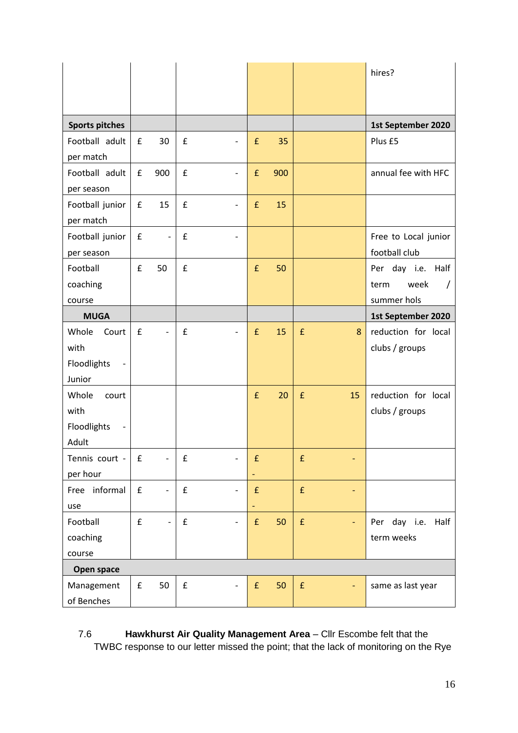|                                                 |                    |                          |                    |                          |                    |     |                    |                          | hires?                                                       |
|-------------------------------------------------|--------------------|--------------------------|--------------------|--------------------------|--------------------|-----|--------------------|--------------------------|--------------------------------------------------------------|
| <b>Sports pitches</b>                           |                    |                          |                    |                          |                    |     |                    |                          | 1st September 2020                                           |
| Football adult<br>per match                     | £                  | 30                       | £                  | $\overline{\phantom{a}}$ | $\pmb{\mathsf{f}}$ | 35  |                    |                          | Plus £5                                                      |
| Football adult<br>per season                    | £                  | 900                      | £                  | $\overline{\phantom{a}}$ | £                  | 900 |                    |                          | annual fee with HFC                                          |
| Football junior<br>per match                    | $\mathbf f$        | 15                       | £                  | $\overline{\phantom{a}}$ | £                  | 15  |                    |                          |                                                              |
| Football junior<br>per season                   | $\pmb{\mathsf{f}}$ | $\blacksquare$           | $\pmb{\mathsf{f}}$ | $\overline{\phantom{a}}$ |                    |     |                    |                          | Free to Local junior<br>football club                        |
| Football<br>coaching<br>course                  | £                  | 50                       | £                  |                          | £                  | 50  |                    |                          | Per day i.e. Half<br>week<br>term<br>$\prime$<br>summer hols |
| <b>MUGA</b>                                     |                    |                          |                    |                          |                    |     |                    |                          | 1st September 2020                                           |
| Whole<br>Court<br>with<br>Floodlights<br>Junior | £                  |                          | $\pmb{\mathsf{f}}$ | $\overline{\phantom{a}}$ | £                  | 15  | $\pmb{\mathsf{f}}$ | 8                        | reduction for local<br>clubs / groups                        |
| Whole<br>court<br>with<br>Floodlights<br>Adult  |                    |                          |                    |                          | £                  | 20  | $\pmb{\mathsf{f}}$ | 15                       | reduction for local<br>clubs / groups                        |
| Tennis court -<br>per hour                      | $\pmb{\mathsf{f}}$ |                          | £                  |                          | $\pmb{\mathsf{f}}$ |     | $\pmb{\mathsf{f}}$ |                          |                                                              |
| Free informal<br>use                            | $\pmb{\mathsf{f}}$ | $\overline{\phantom{0}}$ | $\pmb{\mathsf{f}}$ | $\overline{\phantom{a}}$ | $\mathbf f$<br>۳   |     | $\pmb{\mathsf{f}}$ |                          |                                                              |
| Football<br>coaching<br>course                  | £                  | $\blacksquare$           | $\pmb{\mathsf{f}}$ | $\overline{\phantom{0}}$ | f                  | 50  | $\mathbf f$        | $\overline{\phantom{a}}$ | day i.e.<br>Half<br>Per<br>term weeks                        |
| Open space                                      |                    |                          |                    |                          |                    |     |                    |                          |                                                              |
| Management<br>of Benches                        | $\pmb{\mathsf{f}}$ | 50                       | ${\bf f}$          | $\overline{\phantom{a}}$ | $\pmb{\mathsf{f}}$ | 50  | $\pmb{\mathsf{f}}$ |                          | same as last year                                            |

# 7.6 **Hawkhurst Air Quality Management Area** – Cllr Escombe felt that the TWBC response to our letter missed the point; that the lack of monitoring on the Rye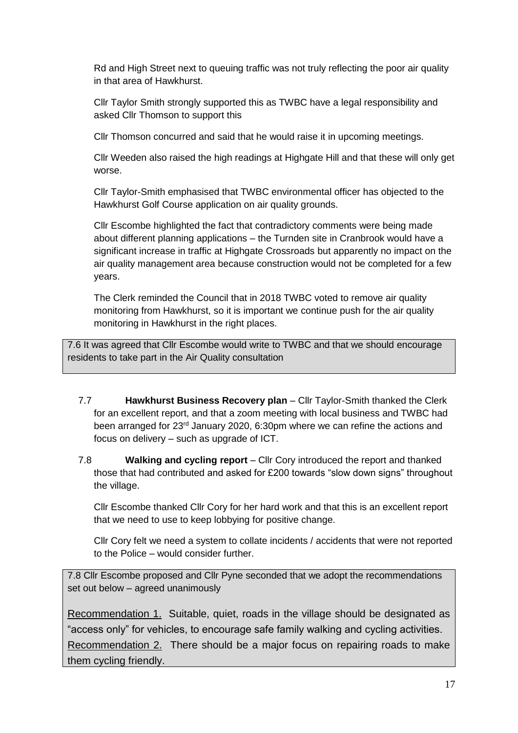Rd and High Street next to queuing traffic was not truly reflecting the poor air quality in that area of Hawkhurst.

Cllr Taylor Smith strongly supported this as TWBC have a legal responsibility and asked Cllr Thomson to support this

Cllr Thomson concurred and said that he would raise it in upcoming meetings.

Cllr Weeden also raised the high readings at Highgate Hill and that these will only get worse.

Cllr Taylor-Smith emphasised that TWBC environmental officer has objected to the Hawkhurst Golf Course application on air quality grounds.

Cllr Escombe highlighted the fact that contradictory comments were being made about different planning applications – the Turnden site in Cranbrook would have a significant increase in traffic at Highgate Crossroads but apparently no impact on the air quality management area because construction would not be completed for a few years.

The Clerk reminded the Council that in 2018 TWBC voted to remove air quality monitoring from Hawkhurst, so it is important we continue push for the air quality monitoring in Hawkhurst in the right places.

7.6 It was agreed that Cllr Escombe would write to TWBC and that we should encourage residents to take part in the Air Quality consultation

- 7.7 **Hawkhurst Business Recovery plan** Cllr Taylor-Smith thanked the Clerk for an excellent report, and that a zoom meeting with local business and TWBC had been arranged for 23rd January 2020, 6:30pm where we can refine the actions and focus on delivery – such as upgrade of ICT.
- 7.8 **Walking and cycling report** Cllr Cory introduced the report and thanked those that had contributed and asked for £200 towards "slow down signs" throughout the village.

Cllr Escombe thanked Cllr Cory for her hard work and that this is an excellent report that we need to use to keep lobbying for positive change.

Cllr Cory felt we need a system to collate incidents / accidents that were not reported to the Police – would consider further.

7.8 Cllr Escombe proposed and Cllr Pyne seconded that we adopt the recommendations set out below – agreed unanimously

Recommendation 1. Suitable, quiet, roads in the village should be designated as "access only" for vehicles, to encourage safe family walking and cycling activities. Recommendation 2. There should be a major focus on repairing roads to make them cycling friendly.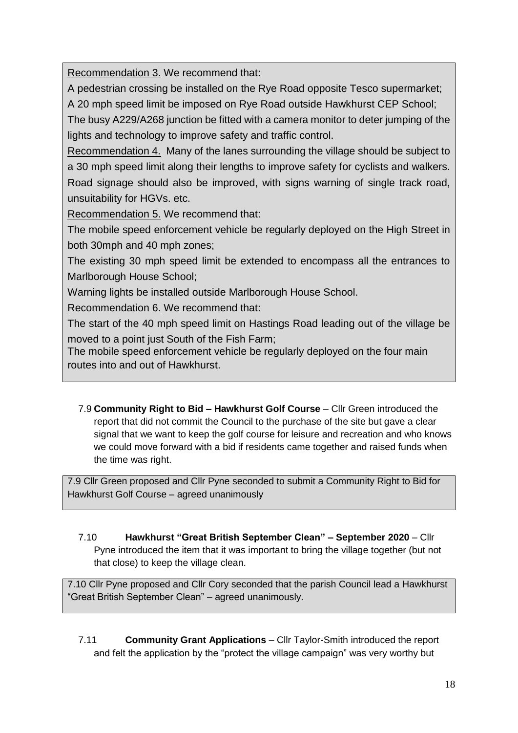Recommendation 3. We recommend that:

A pedestrian crossing be installed on the Rye Road opposite Tesco supermarket; A 20 mph speed limit be imposed on Rye Road outside Hawkhurst CEP School;

The busy A229/A268 junction be fitted with a camera monitor to deter jumping of the lights and technology to improve safety and traffic control.

Recommendation 4. Many of the lanes surrounding the village should be subject to a 30 mph speed limit along their lengths to improve safety for cyclists and walkers. Road signage should also be improved, with signs warning of single track road, unsuitability for HGVs. etc.

Recommendation 5. We recommend that:

The mobile speed enforcement vehicle be regularly deployed on the High Street in both 30mph and 40 mph zones;

The existing 30 mph speed limit be extended to encompass all the entrances to Marlborough House School;

Warning lights be installed outside Marlborough House School.

Recommendation 6. We recommend that:

The start of the 40 mph speed limit on Hastings Road leading out of the village be moved to a point just South of the Fish Farm;

The mobile speed enforcement vehicle be regularly deployed on the four main routes into and out of Hawkhurst.

7.9 **Community Right to Bid – Hawkhurst Golf Course** – Cllr Green introduced the report that did not commit the Council to the purchase of the site but gave a clear signal that we want to keep the golf course for leisure and recreation and who knows we could move forward with a bid if residents came together and raised funds when the time was right.

7.9 Cllr Green proposed and Cllr Pyne seconded to submit a Community Right to Bid for Hawkhurst Golf Course – agreed unanimously

7.10 **Hawkhurst "Great British September Clean" – September 2020** – Cllr Pyne introduced the item that it was important to bring the village together (but not that close) to keep the village clean.

7.10 Cllr Pyne proposed and Cllr Cory seconded that the parish Council lead a Hawkhurst "Great British September Clean" – agreed unanimously.

7.11 **Community Grant Applications** – Cllr Taylor-Smith introduced the report and felt the application by the "protect the village campaign" was very worthy but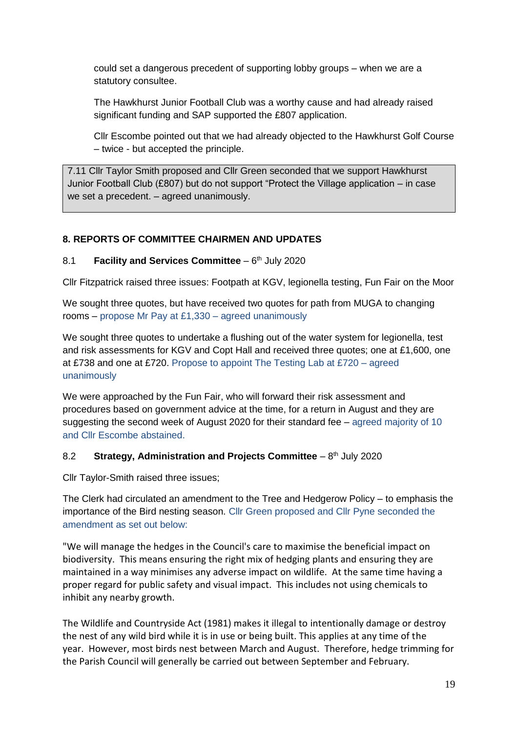could set a dangerous precedent of supporting lobby groups – when we are a statutory consultee.

The Hawkhurst Junior Football Club was a worthy cause and had already raised significant funding and SAP supported the £807 application.

Cllr Escombe pointed out that we had already objected to the Hawkhurst Golf Course – twice - but accepted the principle.

7.11 Cllr Taylor Smith proposed and Cllr Green seconded that we support Hawkhurst Junior Football Club (£807) but do not support "Protect the Village application – in case we set a precedent. – agreed unanimously.

#### **8. REPORTS OF COMMITTEE CHAIRMEN AND UPDATES**

#### 8.1 Facility and Services Committee - 6<sup>th</sup> July 2020

Cllr Fitzpatrick raised three issues: Footpath at KGV, legionella testing, Fun Fair on the Moor

We sought three quotes, but have received two quotes for path from MUGA to changing rooms – propose Mr Pay at £1,330 – agreed unanimously

We sought three quotes to undertake a flushing out of the water system for legionella, test and risk assessments for KGV and Copt Hall and received three quotes; one at £1,600, one at £738 and one at £720. Propose to appoint The Testing Lab at £720 – agreed unanimously

We were approached by the Fun Fair, who will forward their risk assessment and procedures based on government advice at the time, for a return in August and they are suggesting the second week of August 2020 for their standard fee – agreed majority of 10 and Cllr Escombe abstained.

#### 8.2 Strategy, Administration and Projects Committee - 8<sup>th</sup> July 2020

Cllr Taylor-Smith raised three issues;

The Clerk had circulated an amendment to the Tree and Hedgerow Policy – to emphasis the importance of the Bird nesting season. Cllr Green proposed and Cllr Pyne seconded the amendment as set out below:

"We will manage the hedges in the Council's care to maximise the beneficial impact on biodiversity. This means ensuring the right mix of hedging plants and ensuring they are maintained in a way minimises any adverse impact on wildlife. At the same time having a proper regard for public safety and visual impact. This includes not using chemicals to inhibit any nearby growth.

The Wildlife and Countryside Act (1981) makes it illegal to intentionally damage or destroy the nest of any wild bird while it is in use or being built. This applies at any time of the year. However, most birds nest between March and August. Therefore, hedge trimming for the Parish Council will generally be carried out between September and February.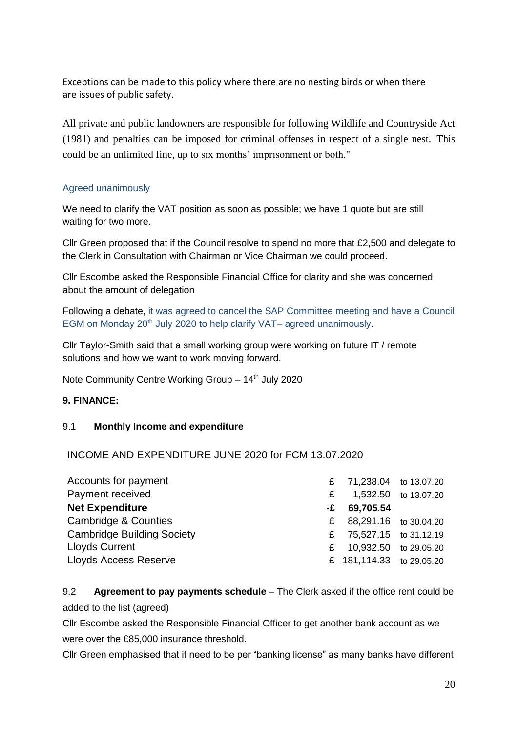Exceptions can be made to this policy where there are no nesting birds or when there are issues of public safety.

All private and public landowners are responsible for following Wildlife and Countryside Act (1981) and penalties can be imposed for criminal offenses in respect of a single nest. This could be an unlimited fine, up to six months' imprisonment or both."

#### Agreed unanimously

We need to clarify the VAT position as soon as possible; we have 1 quote but are still waiting for two more.

Cllr Green proposed that if the Council resolve to spend no more that £2,500 and delegate to the Clerk in Consultation with Chairman or Vice Chairman we could proceed.

Cllr Escombe asked the Responsible Financial Office for clarity and she was concerned about the amount of delegation

Following a debate, it was agreed to cancel the SAP Committee meeting and have a Council EGM on Monday 20<sup>th</sup> July 2020 to help clarify VAT– agreed unanimously.

Cllr Taylor-Smith said that a small working group were working on future IT / remote solutions and how we want to work moving forward.

Note Community Centre Working Group - 14<sup>th</sup> July 2020

#### **9. FINANCE:**

#### 9.1 **Monthly Income and expenditure**

#### INCOME AND EXPENDITURE JUNE 2020 for FCM 13.07.2020

| Accounts for payment              |              | £ 71,238.04 to 13.07.20  |                      |
|-----------------------------------|--------------|--------------------------|----------------------|
| Payment received                  | £            |                          | 1,532.50 to 13.07.20 |
| <b>Net Expenditure</b>            | -£           | 69,705.54                |                      |
| Cambridge & Counties              | $\mathbf{f}$ | 88,291.16 to 30.04.20    |                      |
| <b>Cambridge Building Society</b> |              | £ 75,527.15 to 31.12.19  |                      |
| <b>Lloyds Current</b>             | £            | 10,932.50 to 29.05.20    |                      |
| <b>Lloyds Access Reserve</b>      |              | £ 181,114.33 to 29.05.20 |                      |

9.2 **Agreement to pay payments schedule** – The Clerk asked if the office rent could be added to the list (agreed)

Cllr Escombe asked the Responsible Financial Officer to get another bank account as we were over the £85,000 insurance threshold.

Cllr Green emphasised that it need to be per "banking license" as many banks have different